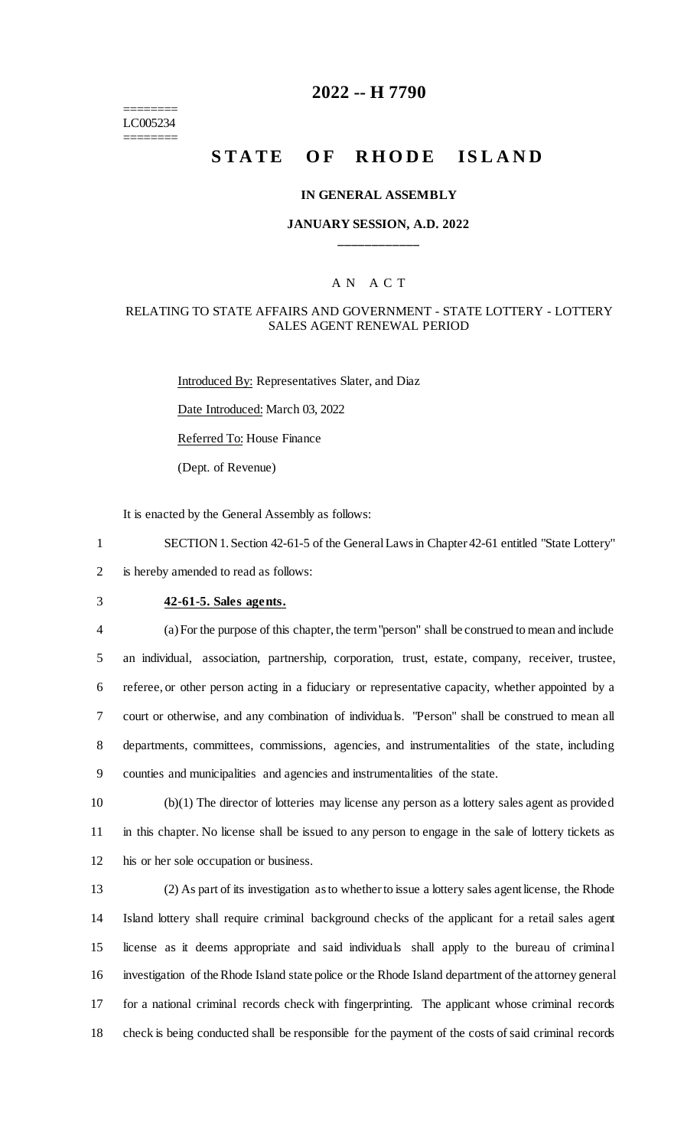======== LC005234 ========

## **2022 -- H 7790**

# **STATE OF RHODE ISLAND**

#### **IN GENERAL ASSEMBLY**

#### **JANUARY SESSION, A.D. 2022 \_\_\_\_\_\_\_\_\_\_\_\_**

#### A N A C T

#### RELATING TO STATE AFFAIRS AND GOVERNMENT - STATE LOTTERY - LOTTERY SALES AGENT RENEWAL PERIOD

Introduced By: Representatives Slater, and Diaz Date Introduced: March 03, 2022 Referred To: House Finance

(Dept. of Revenue)

It is enacted by the General Assembly as follows:

1 SECTION 1. Section 42-61-5 of the General Laws in Chapter 42-61 entitled "State Lottery" 2 is hereby amended to read as follows:

#### 3 **42-61-5. Sales agents.**

 (a) For the purpose of this chapter, the term "person" shall be construed to mean and include an individual, association, partnership, corporation, trust, estate, company, receiver, trustee, referee, or other person acting in a fiduciary or representative capacity, whether appointed by a court or otherwise, and any combination of individuals. "Person" shall be construed to mean all departments, committees, commissions, agencies, and instrumentalities of the state, including counties and municipalities and agencies and instrumentalities of the state.

10 (b)(1) The director of lotteries may license any person as a lottery sales agent as provided 11 in this chapter. No license shall be issued to any person to engage in the sale of lottery tickets as 12 his or her sole occupation or business.

 (2) As part of its investigation as to whether to issue a lottery sales agent license, the Rhode Island lottery shall require criminal background checks of the applicant for a retail sales agent license as it deems appropriate and said individuals shall apply to the bureau of criminal investigation of the Rhode Island state police or the Rhode Island department of the attorney general for a national criminal records check with fingerprinting. The applicant whose criminal records check is being conducted shall be responsible for the payment of the costs of said criminal records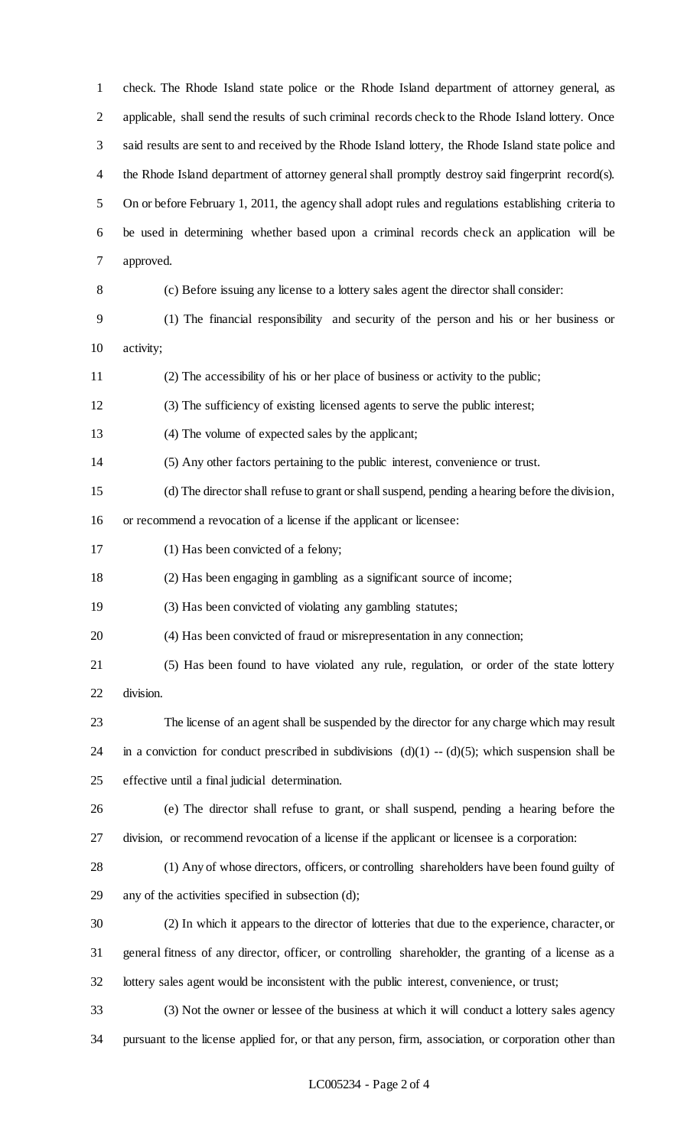check. The Rhode Island state police or the Rhode Island department of attorney general, as applicable, shall send the results of such criminal records check to the Rhode Island lottery. Once said results are sent to and received by the Rhode Island lottery, the Rhode Island state police and the Rhode Island department of attorney general shall promptly destroy said fingerprint record(s). On or before February 1, 2011, the agency shall adopt rules and regulations establishing criteria to be used in determining whether based upon a criminal records check an application will be approved. (c) Before issuing any license to a lottery sales agent the director shall consider: (1) The financial responsibility and security of the person and his or her business or activity; (2) The accessibility of his or her place of business or activity to the public; (3) The sufficiency of existing licensed agents to serve the public interest; (4) The volume of expected sales by the applicant; (5) Any other factors pertaining to the public interest, convenience or trust. (d) The director shall refuse to grant or shall suspend, pending a hearing before the division, or recommend a revocation of a license if the applicant or licensee: 17 (1) Has been convicted of a felony; (2) Has been engaging in gambling as a significant source of income; (3) Has been convicted of violating any gambling statutes; (4) Has been convicted of fraud or misrepresentation in any connection; (5) Has been found to have violated any rule, regulation, or order of the state lottery division. The license of an agent shall be suspended by the director for any charge which may result 24 in a conviction for conduct prescribed in subdivisions  $(d)(1) - (d)(5)$ ; which suspension shall be effective until a final judicial determination. (e) The director shall refuse to grant, or shall suspend, pending a hearing before the division, or recommend revocation of a license if the applicant or licensee is a corporation: (1) Any of whose directors, officers, or controlling shareholders have been found guilty of any of the activities specified in subsection (d); (2) In which it appears to the director of lotteries that due to the experience, character, or general fitness of any director, officer, or controlling shareholder, the granting of a license as a lottery sales agent would be inconsistent with the public interest, convenience, or trust; (3) Not the owner or lessee of the business at which it will conduct a lottery sales agency pursuant to the license applied for, or that any person, firm, association, or corporation other than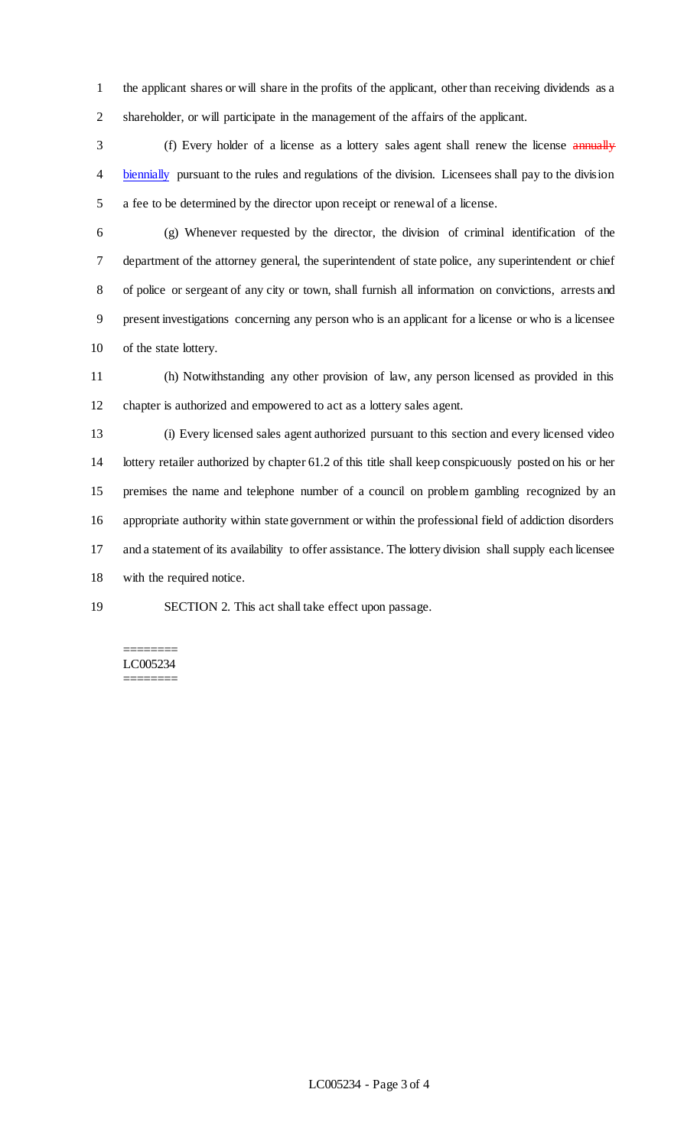the applicant shares or will share in the profits of the applicant, other than receiving dividends as a shareholder, or will participate in the management of the affairs of the applicant.

3 (f) Every holder of a license as a lottery sales agent shall renew the license annually biennially pursuant to the rules and regulations of the division. Licensees shall pay to the division a fee to be determined by the director upon receipt or renewal of a license.

 (g) Whenever requested by the director, the division of criminal identification of the department of the attorney general, the superintendent of state police, any superintendent or chief of police or sergeant of any city or town, shall furnish all information on convictions, arrests and present investigations concerning any person who is an applicant for a license or who is a licensee of the state lottery.

 (h) Notwithstanding any other provision of law, any person licensed as provided in this chapter is authorized and empowered to act as a lottery sales agent.

 (i) Every licensed sales agent authorized pursuant to this section and every licensed video lottery retailer authorized by chapter 61.2 of this title shall keep conspicuously posted on his or her premises the name and telephone number of a council on problem gambling recognized by an appropriate authority within state government or within the professional field of addiction disorders and a statement of its availability to offer assistance. The lottery division shall supply each licensee with the required notice.

SECTION 2. This act shall take effect upon passage.

======== LC005234 ========